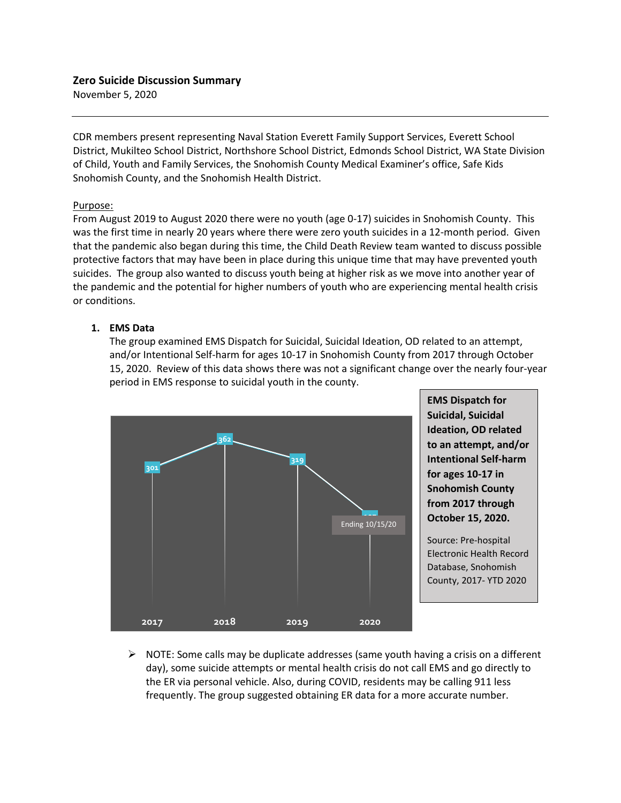November 5, 2020

CDR members present representing Naval Station Everett Family Support Services, Everett School District, Mukilteo School District, Northshore School District, Edmonds School District, WA State Division of Child, Youth and Family Services, the Snohomish County Medical Examiner's office, Safe Kids Snohomish County, and the Snohomish Health District.

#### Purpose:

From August 2019 to August 2020 there were no youth (age 0-17) suicides in Snohomish County. This was the first time in nearly 20 years where there were zero youth suicides in a 12-month period. Given that the pandemic also began during this time, the Child Death Review team wanted to discuss possible protective factors that may have been in place during this unique time that may have prevented youth suicides. The group also wanted to discuss youth being at higher risk as we move into another year of the pandemic and the potential for higher numbers of youth who are experiencing mental health crisis or conditions.

#### **1. EMS Data**

The group examined EMS Dispatch for Suicidal, Suicidal Ideation, OD related to an attempt, and/or Intentional Self-harm for ages 10-17 in Snohomish County from 2017 through October 15, 2020. Review of this data shows there was not a significant change over the nearly four-year period in EMS response to suicidal youth in the county.



**EMS Dispatch for Suicidal, Suicidal Ideation, OD related to an attempt, and/or Intentional Self-harm for ages 10-17 in Snohomish County from 2017 through October 15, 2020.** 

Source: Pre-hospital Electronic Health Record Database, Snohomish County, 2017- YTD 2020

 $\triangleright$  NOTE: Some calls may be duplicate addresses (same youth having a crisis on a different day), some suicide attempts or mental health crisis do not call EMS and go directly to the ER via personal vehicle. Also, during COVID, residents may be calling 911 less frequently. The group suggested obtaining ER data for a more accurate number.